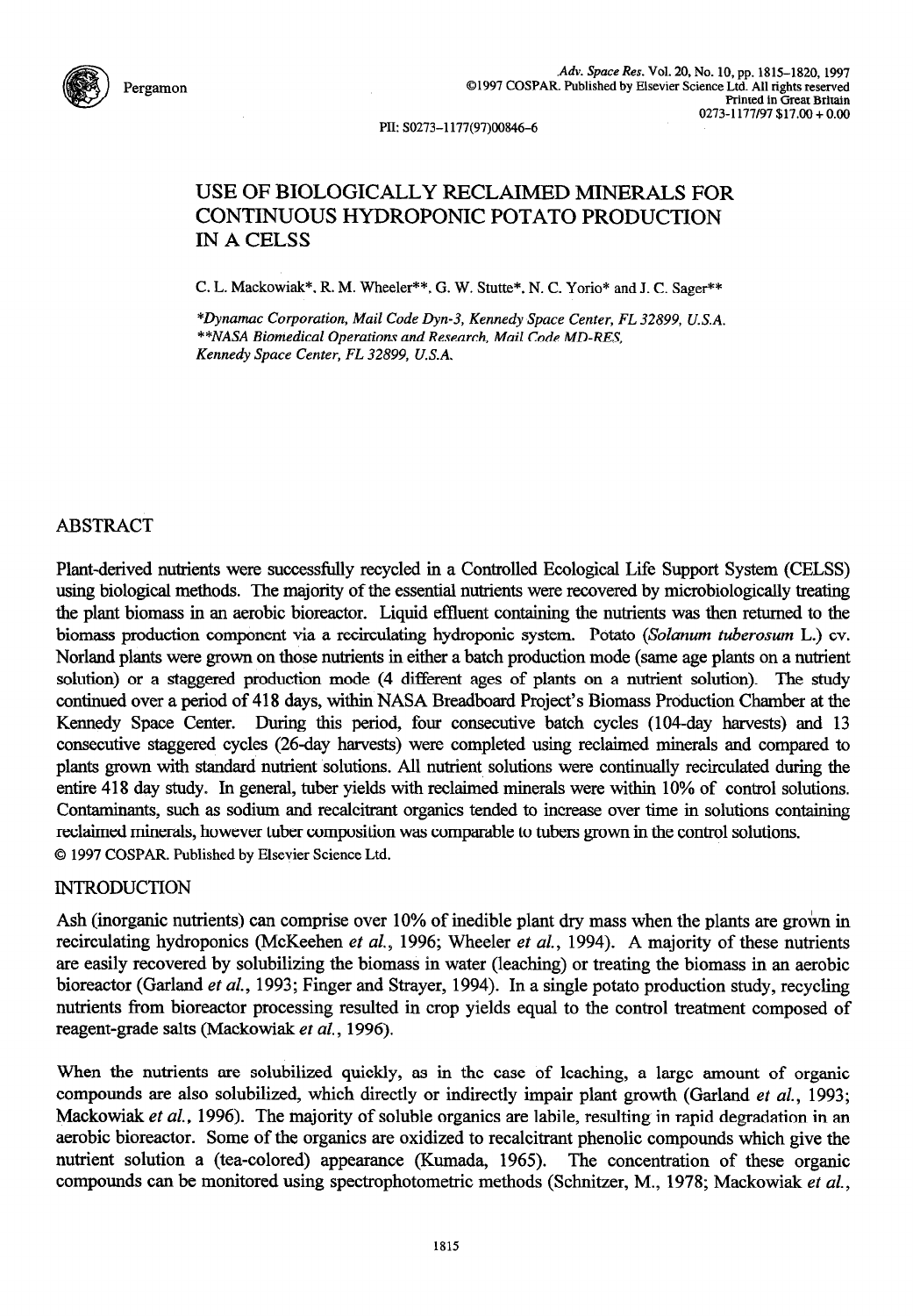

**PII: 50273-l 177(97)00846-6** 

# **USE OF BIOLOGICALLY RECLAIMED MINERALS FOR CONTINUOUS HYDROPONIC POTATO PRODUCTION IN A CELSS**

C. L. Mackowiak\*, R. M. Wheeler \*\*, G. W. Stutte\*, N. C. Yorio\* and J. C. Sager\*\*

*Wynamac Corporation, Mail Code Dyn-3, Kennedy Space Center, FL 32899, U.S.A. \*\*NASA Biomedical Operations and Research, Mail Code MD-RES, Kennedy Space Center, FL 32899, U.S.A.* 

# ABSTRACT

Plant-derived nutrients were successfully recycled in a Controlled Ecological Life Support System (CELSS) using biological methods. The majority of the essential nutrients were recovered by microbiologically treating the plant biomass in an aerobic bioreactor. Liquid effluent containing the nutrients was then returned to the biomass production component via a recirculating hydroponic system. Potato (Solanum *tuberosum* L.) cv. Norland plants were grown on those nutrients in either a batch production mode (same age plants on a nutrient solution) or a staggered production mode (4 different ages of plants on a nutrient solution). The study continued over a period of 418 days, within NASA Breadboard Project's Biomass Production Chamber at the Kennedy Space Center. During this period, four consecutive batch cycles (104-day harvests) and 13 consecutive staggered cycles (26-day harvests) were completed using reclaimed minerals and compared to plants grown with standard nutrient solutions. All nutrient solutions were continually recirculated during the entire 418 day study. In general, tuber yields with reclaimed minerals were within 10% of control solutions. Contaminants, such as sodium and recalcitrant organics tended to increase over time in solutions containing reclaimed minerals, however tuber composition was comparable to tubers grown in the control solutions. 0 1997 COSPAR. Published by Elsevier Science Ltd.

## **INTRODUCTION**

Ash (inorganic nutrients) can comprise over  $10\%$  of inedible plant dry mass when the plants are grown in recirculating hydroponics (McKeehen et al., 1996; Wheeler *et al.,* 1994). A majority of these nutrients are easily recovered by solubilizing the biomass in water (leaching) or treating the biomass in an aerobic bioreactor (Garland et *al.,* 1993; Finger and Strayer, 1994). In a single potato production study, recycling nutrients from bioreactor processing resulted in crop yields equal to the control treatment composed of reagent-grade salts (Mackowiak *et al.,* 1996).

When the nutrients are solubilized quickly, as in the case of leaching, a large amount of organic compounds are also solubilized, which directly or indirectly impair plant growth (Garland *et al.,* 1993; Mackowiak *et al.,* 1996). The majority of soluble organics are labile, resulting in rapid degradation in an aerobic bioreactor. Some of the organics are oxidized to recalcitrant phenolic compounds which give the nutrient solution a (tea-colored) appearance (Kumada, 1965). The concentration of these organic compounds can be monitored using spectrophotometric methods (Schnitzer, M., 1978; Mackowiak *et al.,*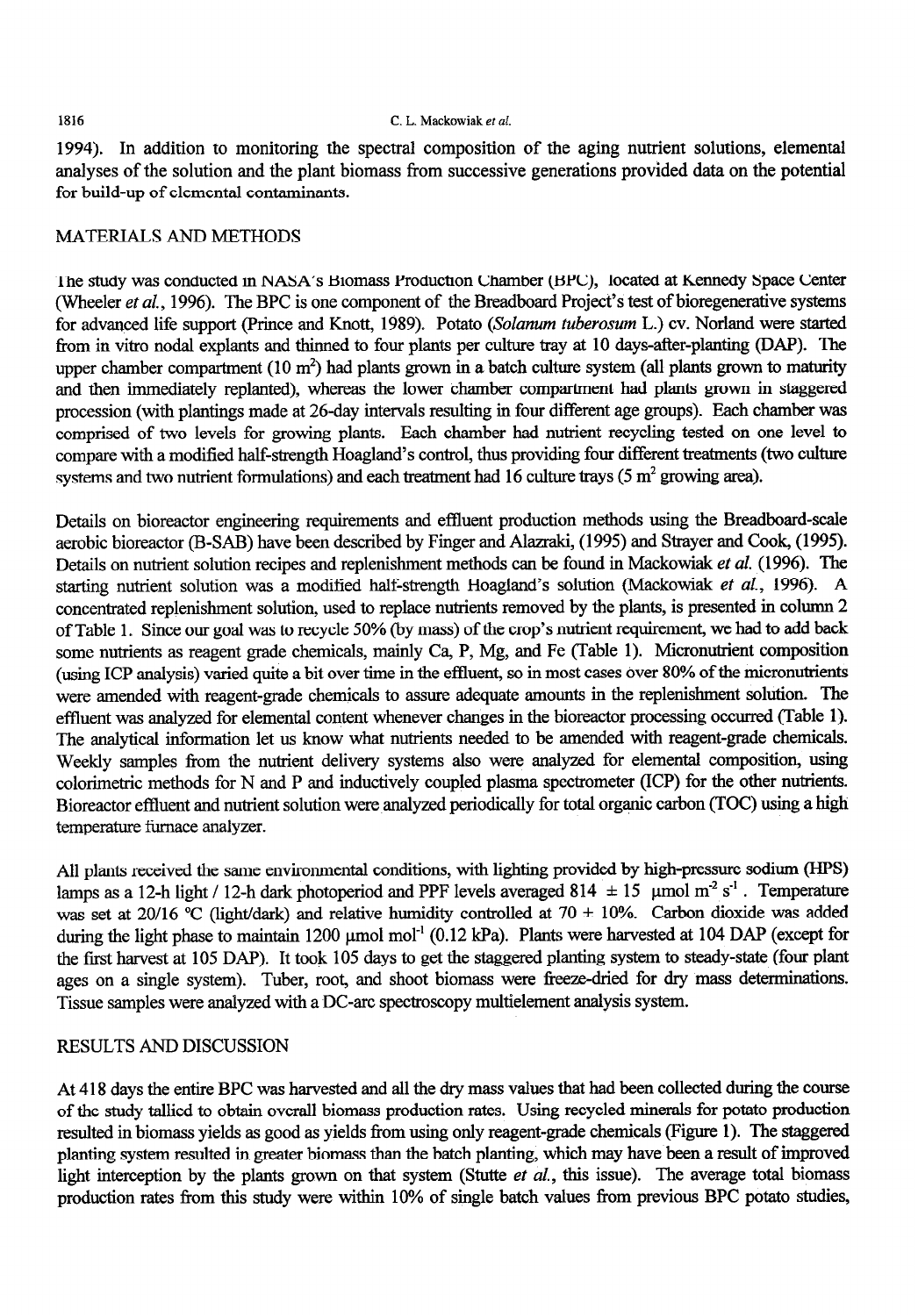#### 1816 C. L. Mackowiak et al.

1994). In addition to monitoring the spectral composition of the aging nutrient solutions, elemental analyses of the solution and the plant biomass from successive generations provided data on the potential for build-up of elemental contaminants.

## MATERIALS AND METHODS

1 he study was conducted m NASA's Biomass Yroducuon Chamber (BPC), located at Kennedy Space Center (Wheeler *et al.,* 1996). The BPC is one component of the Breadboard Project's test of bioregenerative systems for advanced life support (Prince and Knott, 1989). Potato *(Solanum tuberosum* L.) cv. Norland were started from in vitro nodal explants and thinned to four plants per culture tray at 10 days-after-planting (DAP). The upper chamber compartment (10  $\text{m}^2$ ) had plants grown in a batch culture system (all plants grown to maturity and then immediately replanted), whereas the lower chamber compartment had plants grown in staggered procession (with plantings made at 26-day intervals resulting in four different age groups). Each chamber was comprised of two levels for growing plants. Each chamber had nutrient recycling tested on one level to compare with a modified half-strength Hoagland' **s** control, thus providing four different treatments (two culture systems and two nutrient formulations) and each treatment had 16 culture trays (5  $m<sup>2</sup>$  growing area).

Details on bioreactor engineering requirements and effluent production methods using the Breadboard-scale aerobic bioreactor (B-SAB) have been described by Finger and Alazraki, (1995) and Strayer and Cook, (1995). Details on nutrient solution recipes and replenishment methods can be found in Mackowiak *et al.* (1996). The starting nutrient solution was a modified half-strength Hoagland's solution (Mackowiak *et al., 1996).* A concentrated replenishment solution, used to replace nutrients removed by the plants, is presented in column 2 of Table 1. Since our goal was to recycle 50% (by mass) of the crop's nutrient requirement, we had to add back some nutrients as reagent grade chemicals, mainly Ca, P, Mg, and Fe (Table 1). Micronutrient composition (using ICP analysis) varied quite a bit over time in the effluent, so in most cases over 80% of the micronutrients were amended with reagent-grade chemicals to assure adequate amounts in the replenishment solution. The effluent was analyzed for elemental content whenever changes in the bioreactor processing occurred (Table 1). The analytical information let us know what nutrients needed to be amended with reagent-grade chemicals. Weekly samples from the nutrient delivery systems also were analyzed for elemental composition, using calorimetric methods for N and P and inductively coupled plasma spectrometer (ICP) for the other nutrients. Bioreactor effluent and nutrient solution were analyzed periodically for total organic carbon (TOC) using a high temperature furnace analyzer.

All plants received the same environmental conditions, with lighting provided by high-pressure sodium (HPS) lamps as a 12-h light / 12-h dark photoperiod and PPF levels averaged 814  $\pm$  15 µmol m<sup>2</sup> s<sup>-1</sup>. Temperature was set at 20/16 °C (light/dark) and relative humidity controlled at 70  $\pm$  10%. Carbon dioxide was added during the light phase to maintain 1200  $\mu$ mol mol<sup>-1</sup> (0.12 kPa). Plants were harvested at 104 DAP (except for the first harvest at 105 DAP). It took 105 days to get the staggered planting system to steady-state (four plant ages on a single system). Tuber, root, and shoot biomass were freeze-dried for dry mass determinations. Tissue samples were analyzed with a DC-arc spectroscopy multielement analysis system.

## RESULTS AND DISCUSSION

At 418 days the entire BPC was harvested and all the dry mass values that had been collected during the course of the study tallied to obtain overall biomass production rates. Using recycled minerals for potato production resulted in biomass yields as good as yields from using only reagent-grade chemicals (Figure 1). The staggered planting system resulted in greater biomass than the batch planting, which may have been a result of improved light interception by the plants grown on that system (Stutte *et al.*, this issue). The average total biomass production rates from this study were within 10% of single batch values from previous BPC potato studies,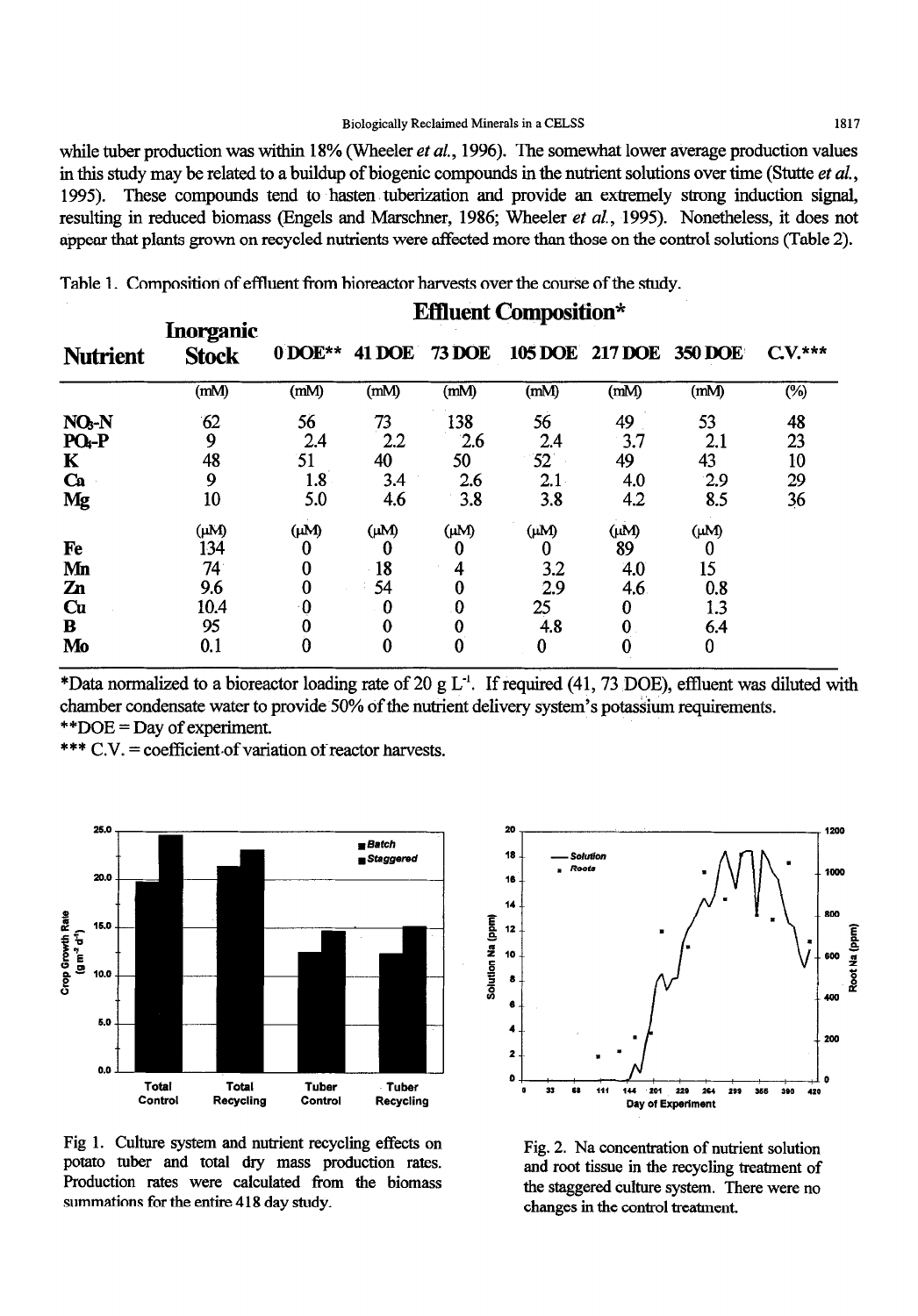while tuber production was within 18% (Wheeler et al., 1996). The somewhat lower average production values in this study may be related to a buildup of biogenic compounds in the nutrient solutions over time (Stutte et al., 1995). These compounds tend to hasten tuberization and provide an extremely strong induction signal, resulting in reduced biomass (Engels and Marschner, 1986; Wheeler et al., 1995). Nonetheless, it does not appear that plants grown on recycled nutrients were affected more than those on the control solutions (Table 2).

**Ffluont Composition**\*

Table 1. Composition of effluent from bioreactor harvests over the course of the study.

| <b>Nutrient</b>    | <b>Inorganic</b><br><b>Stock</b> | EITHREIN COMPOSITION |           |           |                                               |      |           |                           |
|--------------------|----------------------------------|----------------------|-----------|-----------|-----------------------------------------------|------|-----------|---------------------------|
|                    |                                  |                      |           |           | 0 DOE** 41 DOE 73 DOE 105 DOE 217 DOE 350 DOE |      |           | $C V^{\star \star \star}$ |
|                    | (mM)                             | (mM)                 | (mM)      | (mM)      | (mM)                                          | (mM) | (mM)      | $(\%)$                    |
| NO <sub>3</sub> -N | 62                               | 56                   | 73        | 138       | 56                                            | 49   | 53        | 48                        |
| PQ-P               | 9                                | 2.4                  | 2.2       | 2.6       | 2.4                                           | 3.7  | 2.1       | 23                        |
| K                  | 48                               | 51                   | 40        | 50        | $52^{\circ}$                                  | 49   | 43        | 10                        |
| Ca                 | 9                                | 1.8                  | 3.4       | 2.6       | 2.1                                           | 4.0  | 2.9       | 29                        |
| Mg                 | 10                               | 5.0                  | 4.6       | 3.8       | 3.8                                           | 4.2  | 8.5       | 36                        |
|                    | (µM)                             | $(\mu M)$            | $(\mu M)$ | $(\mu M)$ | $(\mu M)$                                     | (M)  | $(\mu M)$ |                           |
| Fe                 | 134                              | 0                    | 0         |           |                                               | 89   | 0         |                           |
| Mn                 | 74                               | 0                    | 18        |           | 3.2                                           | 4.0  | 15        |                           |
| Zn                 | 9.6                              |                      | 54        |           | 2.9                                           | 4.6  | 0.8       |                           |
| Cu                 | 10.4                             |                      | 0         | 0         | 25                                            | 0    | 1.3       |                           |
| B                  | 95                               |                      |           | 0         | 4.8                                           |      | 6.4       |                           |
| Mo                 | 0.1                              |                      |           | 0         | 0                                             |      | 0         |                           |

\*Data normalized to a bioreactor loading rate of 20 g  $L<sup>-1</sup>$ . If required (41, 73 DOE), effluent was diluted with chamber condensate water to provide 50% of the nutrient delivery system's potassium requirements. \*\*DOE = Day of experiment.

\*\*\* C.V. = coefficient of variation of reactor harvests.



Fig 1. Culture system and nutrient recycling effects on potato tuber and total dry mass production rates. Production rates were calculated from the biomass summations for the entire 418 day study.



Fig. 2. Na concentration of nutrient solution and root tissue in the recycling treatment of the staggered culture system. There were no changes in the control treatment.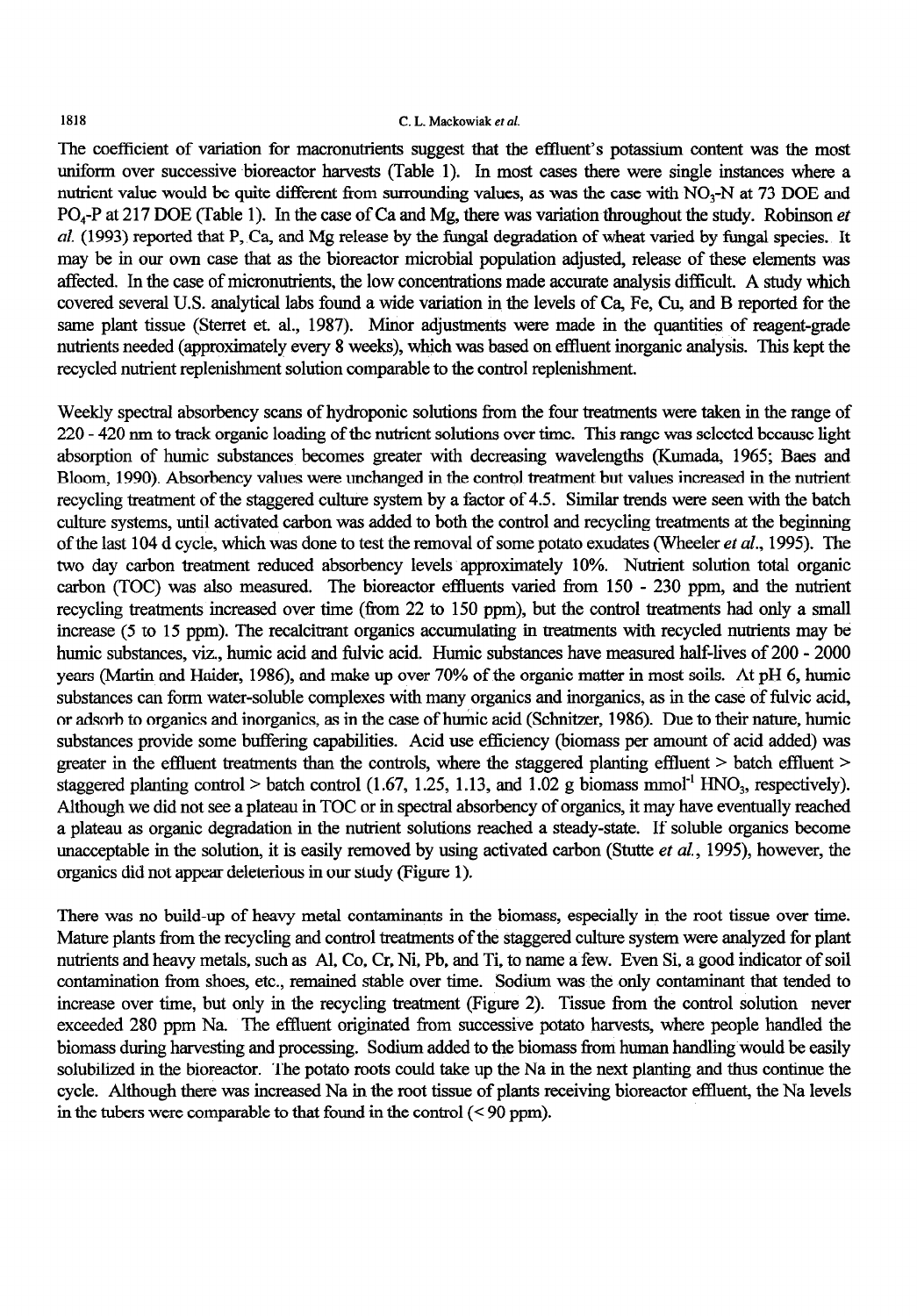#### 1818 C. L. Mackowiak et al.

The coefficient of variation for macronutrients suggest that the effluent's potassium content was the most uniform over successive bioreactor harvests (Table 1). In most cases there were single instances where a nutrient value would be quite different from surrounding values, as was the case with  $NO<sub>3</sub>-N$  at 73 DOE and PO,-P at 217 DOE (Table 1). In the case of Ca and Mg, there was variation throughout the study. Robinson *et al.* (1993) reported that P, Ca, and Mg release by the fungal degradation of wheat varied by fungal species. It may be in our own case that as the bioreactor microbial population adjusted, release of these elements was affected. In the case of micronutrients, the low concentrations made accurate analysis difficult. A study which covered several U.S. analytical labs found a wide variation in the levels of Ca, Fe, Cu, and B reported for the same plant tissue (Sterret et. al., 1987). Minor adjustments were made in the quantities of reagent-grade nutrients needed (approximately every 8 weeks), which was based on effluent inorganic analysis. This kept the recycled nutrient replenishment solution comparable to the control replenishment.

Weekly spectral absorbency scans of hydroponic solutions from the four treatments were taken in the range of 220 - 420 nm to track organic loading of the nutrient solutions over time. This range was selected because light absorption of humic substances becomes greater with decreasing wavelengths (Kumada, 1965; Baes and Bloom, 1990). Absorbency values were unchanged in the control treatment but values increased in the nutrient recycling treatment of the staggered culture system by a factor of 4.5. Similar trends were seen with the batch culture systems, until activated carbon was added to both the control and recycling treatments at the beginning of the last 104 d cycle, which was done to test the removal of some potato exudates (Wheeler *et al.,* 1995). The two day carbon treatment reduced absorbency levels approximately 10%. Nutrient sohrtion total organic carbon (TOC) was also measured. The bioreactor effluents varied from 150 - 230 ppm, and the nutrient recycling treatments increased over time (from 22 to 150 ppm), but the control treatments had only a small increase (5 to 15 ppm). The recalcitrant organics accumulating in treatments with recycled nutrients may be humic substances, viz., humic acid and fulvic acid. Humic substances have measured half-lives of 200 - 2000 years (Martin and Haider, 1986), and make up over 70% of the organic matter in most soils. At pH 6, humic substances can form water-soluble complexes with many organics and inorganics, as in the case of fulvic acid, or adsorb to organics and inorganics, as in the case of humic acid (Schnitzer, 1986). Due to their nature, humic substances provide some buffering capabilities. Acid use efficiency (biomass per amount of acid added) was greater in the effluent treatments than the controls, where the staggered planting effluent > batch effluent > staggered planting control > batch control (1.67, 1.25, 1.13, and 1.02 g biomass mmol<sup>-1</sup> HNO<sub>3</sub>, respectively). Although we did not see a plateau in TOC or in spectral absorbency of organics, it may have eventually reached a plateau as organic degradation in the nutrient solutions reached a steady-state. If soluble organics become unacceptable in the solution, it is easily removed by using activated carbon (Stutte *et al.,* 1995), however, the organics did not appear deleterious in our study (Figure 1).

There was no build-up of heavy metal contaminants in the biomass, especially in the root tissue over time. Mature plants from the recycling and control treatments of the staggered culture system were analyzed for plant nutrients and heavy metals, such as Al, Co, Cr, Ni, Pb, and Ti, to name a few. Even Si, a good indicator of soil contamination from shoes, etc., remained stable over time. Sodium was the only contaminant that tended to increase over time, but only in the recycling treatment (Figure 2). Tissue from the control solution never exceeded 280 ppm Na. The effluent originated from successive potato harvests, where people handled the biomass during harvesting and processing. Sodium added to the biomass from human handling would be easily solubilized in the bioreactor. The potato roots could take up the Na in the next planting and thus continue the cycle. Although there was increased Na in the root tissue of plants receiving bioreactor effluent, the Na levels in the tubers were comparable to that found in the control  $(< 90$  ppm).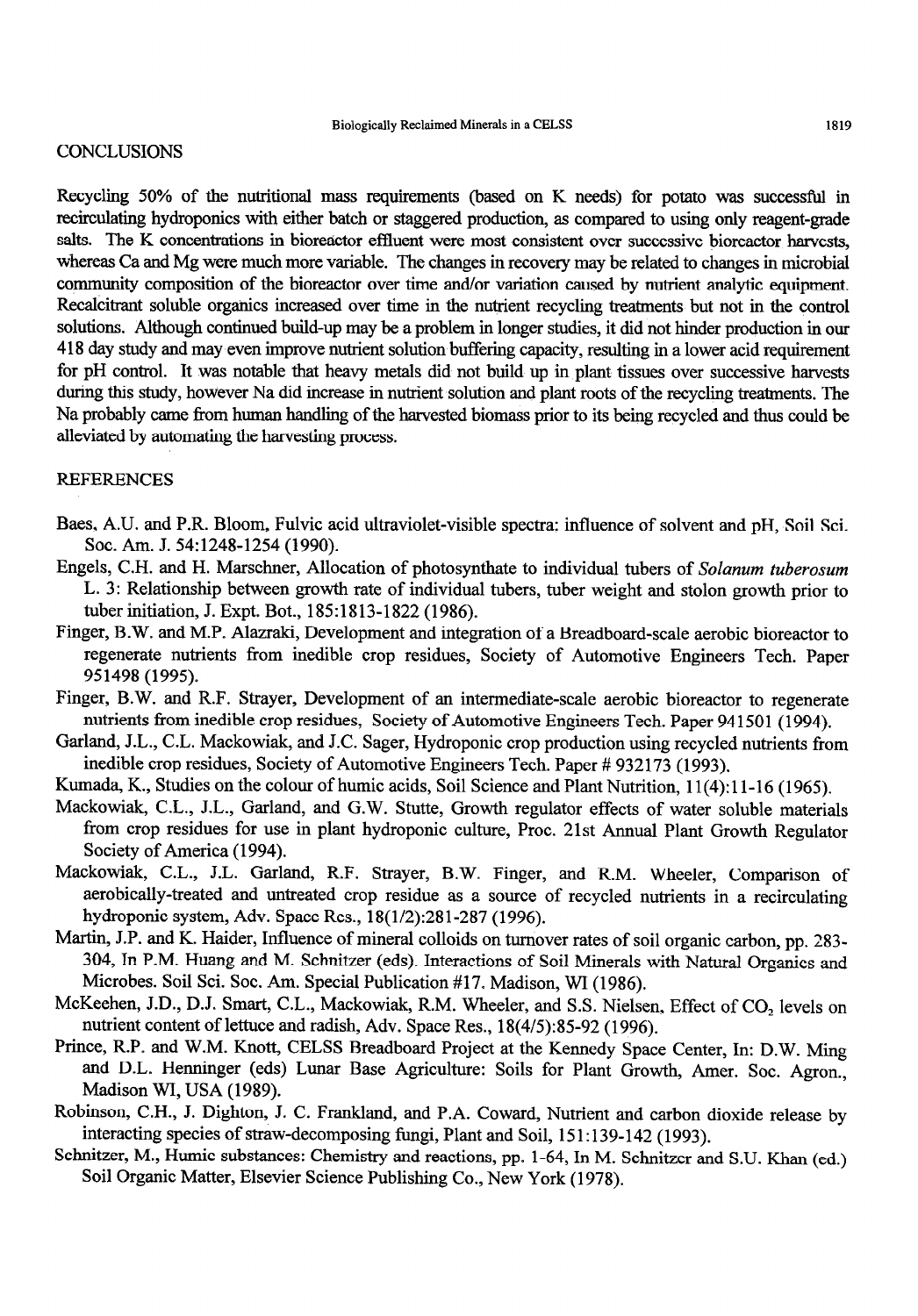#### **CONCLUSIONS**

Recycling 50% of the nutritional mass requirements (based on K needs) for potato was successful in recirculating hydroponics with either batch or staggered production, as compared to using only reagent-grade salts. The K concentrations in bioreactor effluent were most consistent over successive bioreactor harvests, whereas Ca and Mg were much more variable. The changes in recovery may be related to changes in microbial community composition of the bioreactor over time and/or variation caused by nutrient analytic equipment. Recalcitrant soluble organics increased over time in the nutrient recycling treatments but not in the control solutions. Although continued build-up may be a problem in longer studies, it did not hinder production in our 4 18 day study and may even improve nutrient solution buffering capacity, resulting in a lower acid requirement for pH control. It was notable that heavy metals did not build up in plant tissues over successive harvests during this study, however Na did increase in nutrient solution and plant roots of the recycling treatments. The Na probably came from human handling of the harvested biomass prior to its being recycled and thus could be alleviated by automating the harvesting process.

### REFERENCES

- Baes, A.U. and P.R. Bloom, Fulvic acid ultraviolet-visible spectra: influence of solvent and pH, Soil Sci. Soc. Am. J. 54:1248-1254 (1990).
- Engels, C.H. and H. Marschner, Allocation of photosynthate to individual tubers of *Solanum tuberosum*  L. 3: Relationship between growth rate of individual tubers, tuber weight and stolon growth prior to tuber initiation, J. Expt. Bot., 185:1813-1822 (1986).
- Finger, B.W. and M.P. Alazraki, Development and integration of a Breadboard-scale aerobic bioreactor to regenerate nutrients from inedible crop residues, Society of Automotive Engineers Tech. Paper 951498 (1995).
- Finger, B.W. and R.F. Strayer, Development of an intermediate-scale aerobic bioreactor to regenerate nutrients from inedible crop residues, Society of Automotive Engineers Tech. Paper 941501 (1994).
- Garland, J.L., C.L. Mackowiak, and J.C. Sager, Hydroponic crop production using recycled nutrients from inedible crop residues, Society of Automotive Engineers Tech. Paper # 932173 (1993).
- Kumada, K., Studies on the colour of humic acids, Soil Science and Plant Nutrition, 11(4):11-16 (1965).
- Mackowiak, C.L., J.L., Garland, and G.W. Stutte, Growth regulator effects of water soluble materials from crop residues for use in plant hydroponic culture, Proc. 21st Annual Plant Growth Regulator Society of America (1994).
- Mackowiak, C.L., J.L. Garland, R.F. Strayer, B.W. Finger, and R.M. Wheeler, Comparison of aerobically-treated and untreated crop residue as a source of recycled nutrients in a recirculating hydroponic system, Adv. Space Res., 18(1/2):281-287 (1996).
- Martin, J.P. and K. Haider, Influence of mineral colloids on turnover rates of soil organic carbon, pp. 283- 304, In P.M. Huang and M. Schnitzer (eds). Interactions of Soil Minerals with Natural Organics and Microbes. Soil Sci. Sot. Am. Special Publication #17. Madison, WI (1986).
- McKeehen, J.D., D.J. Smart, C.L., Mackowiak, R.M. Wheeler, and S.S. Nielsen, Effect of CO, levels on nutrient content of lettuce and radish, Adv. Space Res., 18(4/5):85-92 (1996).
- Prince, R.P. and W.M. Knott, CELSS Breadboard Project at the Kennedy Space Center, In: D.W. Ming and D.L. Henninger (eds) Lunar Base Agriculture: Soils for Plant Growth, Amer. Soc. Agron., Madison WI, USA (1989).
- Robinson, C.H., J. Dighton, J. C. Frankland, and P.A. Coward, Nutrient and carbon dioxide release by interacting species of straw-decomposing fungi, Plant and Soil, 15 1: 139-142 (1993).
- Schnitzer, M., Humic substances: Chemistry and reactions, pp. 1-64, In M. Schnitzer and S.U. Khan (ed.) Soil Organic Matter, Elsevier Science Publishing Co., New York (1978).